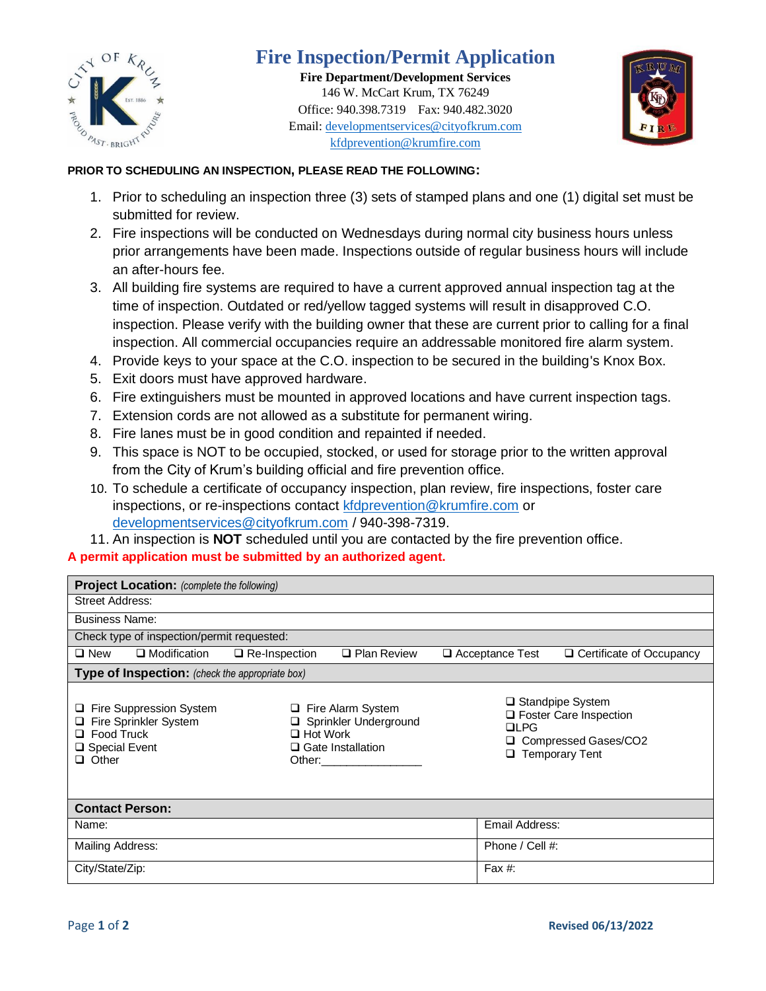

## **Fire Inspection/Permit Application**

**Fire Department/Development Services** 146 W. McCart Krum, TX 76249 Office: 940.398.7319 Fax: 940.482.3020 Email: [developmentservices@cityofkrum.com](mailto:developmentservices@cityofkrum.com) kfdprevention@krumfire.com



## **PRIOR TO SCHEDULING AN INSPECTION, PLEASE READ THE FOLLOWING:**

- 1. Prior to scheduling an inspection three (3) sets of stamped plans and one (1) digital set must be submitted for review.
- 2. Fire inspections will be conducted on Wednesdays during normal city business hours unless prior arrangements have been made. Inspections outside of regular business hours will include an after-hours fee.
- 3. All building fire systems are required to have a current approved annual inspection tag at the time of inspection. Outdated or red/yellow tagged systems will result in disapproved C.O. inspection. Please verify with the building owner that these are current prior to calling for a final inspection. All commercial occupancies require an addressable monitored fire alarm system.
- 4. Provide keys to your space at the C.O. inspection to be secured in the building's Knox Box.
- 5. Exit doors must have approved hardware.
- 6. Fire extinguishers must be mounted in approved locations and have current inspection tags.
- 7. Extension cords are not allowed as a substitute for permanent wiring.
- 8. Fire lanes must be in good condition and repainted if needed.
- 9. This space is NOT to be occupied, stocked, or used for storage prior to the written approval from the City of Krum's building official and fire prevention office.
- 10. To schedule a certificate of occupancy inspection, plan review, fire inspections, foster care inspections, or re-inspections contact [kfdprevention@krumfire.com](mailto:kfdprevention@krumfire.com) or [developmentservices@cityofkrum.com](mailto:developmentservices@cityofkrum.com) / 940-398-7319.
- 11. An inspection is **NOT** scheduled until you are contacted by the fire prevention office.

## **A permit application must be submitted by an authorized agent.**

| <b>Project Location:</b> (complete the following)                                                                   |                                                                                                                |                    |                                                                                                                        |                                 |  |
|---------------------------------------------------------------------------------------------------------------------|----------------------------------------------------------------------------------------------------------------|--------------------|------------------------------------------------------------------------------------------------------------------------|---------------------------------|--|
| Street Address:                                                                                                     |                                                                                                                |                    |                                                                                                                        |                                 |  |
| <b>Business Name:</b>                                                                                               |                                                                                                                |                    |                                                                                                                        |                                 |  |
| Check type of inspection/permit requested:                                                                          |                                                                                                                |                    |                                                                                                                        |                                 |  |
| $\square$ New<br>$\square$ Modification                                                                             | $\Box$ Re-Inspection                                                                                           | $\Box$ Plan Review | □ Acceptance Test                                                                                                      | $\Box$ Certificate of Occupancy |  |
| Type of Inspection: (check the appropriate box)                                                                     |                                                                                                                |                    |                                                                                                                        |                                 |  |
| Fire Suppression System<br>u<br>Fire Sprinkler System<br>Q.<br>$\Box$ Food Truck<br>□ Special Event<br>$\Box$ Other | Fire Alarm System<br>Sprinkler Underground<br>$\Box$ Hot Work<br>$\Box$ Gate Installation<br>Other:___________ |                    | $\Box$ Standpipe System<br>$\Box$ Foster Care Inspection<br>$\Box$ PG<br>Compressed Gases/CO2<br>$\Box$ Temporary Tent |                                 |  |
| <b>Contact Person:</b>                                                                                              |                                                                                                                |                    |                                                                                                                        |                                 |  |
| Name:                                                                                                               |                                                                                                                | Email Address:     |                                                                                                                        |                                 |  |
| <b>Mailing Address:</b>                                                                                             |                                                                                                                |                    | Phone / Cell #:                                                                                                        |                                 |  |
| City/State/Zip:                                                                                                     |                                                                                                                |                    | Fax $#$ :                                                                                                              |                                 |  |